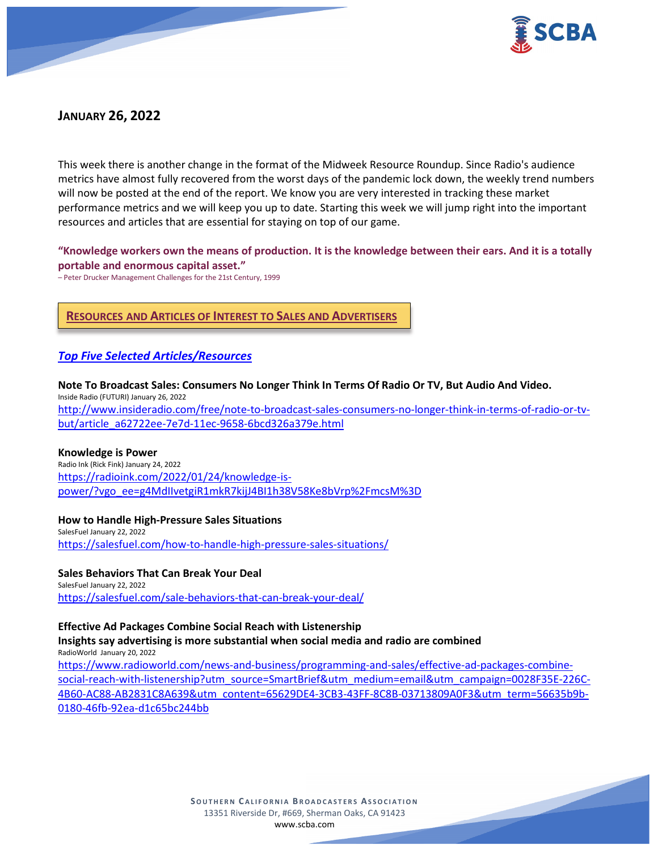

# **JANUARY 26, 2022**

This week there is another change in the format of the Midweek Resource Roundup. Since Radio's audience metrics have almost fully recovered from the worst days of the pandemic lock down, the weekly trend numbers will now be posted at the end of the report. We know you are very interested in tracking these market performance metrics and we will keep you up to date. Starting this week we will jump right into the important resources and articles that are essential for staying on top of our game.

## **"Knowledge workers own the means of production. It is the knowledge between their ears. And it is a totally portable and enormous capital asset."**

– Peter Drucker Management Challenges for the 21st Century, 1999

# **RESOURCES AND ARTICLES OF INTEREST TO SALES AND ADVERTISERS**

### *Top Five Selected Articles/Resources*

**Note To Broadcast Sales: Consumers No Longer Think In Terms Of Radio Or TV, But Audio And Video.** Inside Radio (FUTURI) January 26, 2022 [http://www.insideradio.com/free/note-to-broadcast-sales-consumers-no-longer-think-in-terms-of-radio-or-tv](http://www.insideradio.com/free/note-to-broadcast-sales-consumers-no-longer-think-in-terms-of-radio-or-tv-but/article_a62722ee-7e7d-11ec-9658-6bcd326a379e.html)[but/article\\_a62722ee-7e7d-11ec-9658-6bcd326a379e.html](http://www.insideradio.com/free/note-to-broadcast-sales-consumers-no-longer-think-in-terms-of-radio-or-tv-but/article_a62722ee-7e7d-11ec-9658-6bcd326a379e.html)

#### **Knowledge is Power**

Radio Ink (Rick Fink) January 24, 2022 [https://radioink.com/2022/01/24/knowledge-is](https://radioink.com/2022/01/24/knowledge-is-power/?vgo_ee=g4MdIIvetgiR1mkR7kijJ4BI1h38V58Ke8bVrp%2FmcsM%3D)[power/?vgo\\_ee=g4MdIIvetgiR1mkR7kijJ4BI1h38V58Ke8bVrp%2FmcsM%3D](https://radioink.com/2022/01/24/knowledge-is-power/?vgo_ee=g4MdIIvetgiR1mkR7kijJ4BI1h38V58Ke8bVrp%2FmcsM%3D)

#### **How to Handle High-Pressure Sales Situations**

SalesFuel January 22, 2022 <https://salesfuel.com/how-to-handle-high-pressure-sales-situations/>

#### **Sales Behaviors That Can Break Your Deal** SalesFuel January 22, 2022

<https://salesfuel.com/sale-behaviors-that-can-break-your-deal/>

#### **Effective Ad Packages Combine Social Reach with Listenership**

**Insights say advertising is more substantial when social media and radio are combined** RadioWorld January 20, 2022

[https://www.radioworld.com/news-and-business/programming-and-sales/effective-ad-packages-combine](https://www.radioworld.com/news-and-business/programming-and-sales/effective-ad-packages-combine-social-reach-with-listenership?utm_source=SmartBrief&utm_medium=email&utm_campaign=0028F35E-226C-4B60-AC88-AB2831C8A639&utm_content=65629DE4-3CB3-43FF-8C8B-03713809A0F3&utm_term=56635b9b-0180-46fb-92ea-d1c65bc244bb)[social-reach-with-listenership?utm\\_source=SmartBrief&utm\\_medium=email&utm\\_campaign=0028F35E-226C-](https://www.radioworld.com/news-and-business/programming-and-sales/effective-ad-packages-combine-social-reach-with-listenership?utm_source=SmartBrief&utm_medium=email&utm_campaign=0028F35E-226C-4B60-AC88-AB2831C8A639&utm_content=65629DE4-3CB3-43FF-8C8B-03713809A0F3&utm_term=56635b9b-0180-46fb-92ea-d1c65bc244bb)[4B60-AC88-AB2831C8A639&utm\\_content=65629DE4-3CB3-43FF-8C8B-03713809A0F3&utm\\_term=56635b9b-](https://www.radioworld.com/news-and-business/programming-and-sales/effective-ad-packages-combine-social-reach-with-listenership?utm_source=SmartBrief&utm_medium=email&utm_campaign=0028F35E-226C-4B60-AC88-AB2831C8A639&utm_content=65629DE4-3CB3-43FF-8C8B-03713809A0F3&utm_term=56635b9b-0180-46fb-92ea-d1c65bc244bb)[0180-46fb-92ea-d1c65bc244bb](https://www.radioworld.com/news-and-business/programming-and-sales/effective-ad-packages-combine-social-reach-with-listenership?utm_source=SmartBrief&utm_medium=email&utm_campaign=0028F35E-226C-4B60-AC88-AB2831C8A639&utm_content=65629DE4-3CB3-43FF-8C8B-03713809A0F3&utm_term=56635b9b-0180-46fb-92ea-d1c65bc244bb)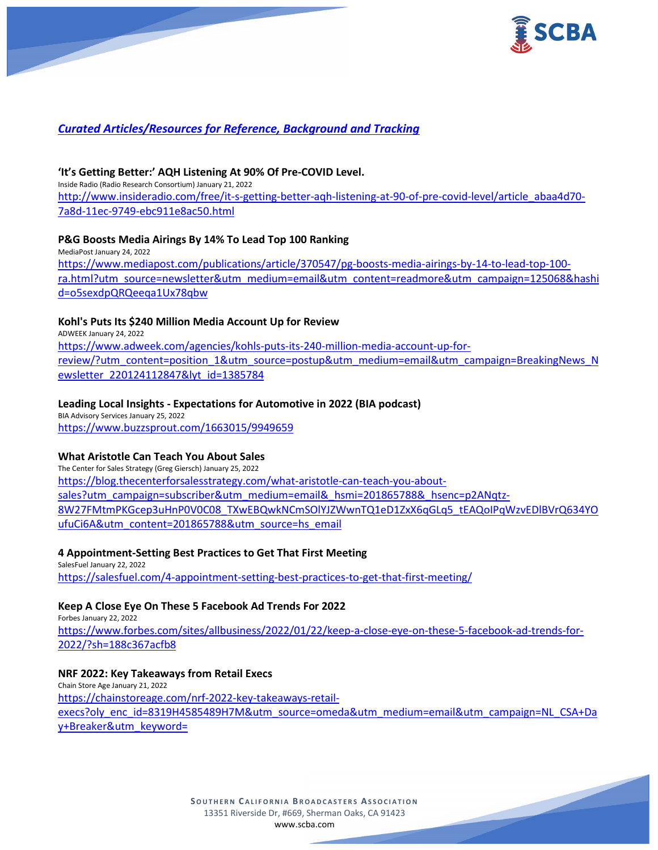

# *Curated Articles/Resources for Reference, Background and Tracking*

## **'It's Getting Better:' AQH Listening At 90% Of Pre-COVID Level.**

Inside Radio (Radio Research Consortium) January 21, 2022 [http://www.insideradio.com/free/it-s-getting-better-aqh-listening-at-90-of-pre-covid-level/article\\_abaa4d70-](http://www.insideradio.com/free/it-s-getting-better-aqh-listening-at-90-of-pre-covid-level/article_abaa4d70-7a8d-11ec-9749-ebc911e8ac50.html) [7a8d-11ec-9749-ebc911e8ac50.html](http://www.insideradio.com/free/it-s-getting-better-aqh-listening-at-90-of-pre-covid-level/article_abaa4d70-7a8d-11ec-9749-ebc911e8ac50.html)

### **P&G Boosts Media Airings By 14% To Lead Top 100 Ranking**

MediaPost January 24, 2022 [https://www.mediapost.com/publications/article/370547/pg-boosts-media-airings-by-14-to-lead-top-100](https://www.mediapost.com/publications/article/370547/pg-boosts-media-airings-by-14-to-lead-top-100-ra.html?utm_source=newsletter&utm_medium=email&utm_content=readmore&utm_campaign=125068&hashid=o5sexdpQRQeeqa1Ux78qbw) [ra.html?utm\\_source=newsletter&utm\\_medium=email&utm\\_content=readmore&utm\\_campaign=125068&hashi](https://www.mediapost.com/publications/article/370547/pg-boosts-media-airings-by-14-to-lead-top-100-ra.html?utm_source=newsletter&utm_medium=email&utm_content=readmore&utm_campaign=125068&hashid=o5sexdpQRQeeqa1Ux78qbw) [d=o5sexdpQRQeeqa1Ux78qbw](https://www.mediapost.com/publications/article/370547/pg-boosts-media-airings-by-14-to-lead-top-100-ra.html?utm_source=newsletter&utm_medium=email&utm_content=readmore&utm_campaign=125068&hashid=o5sexdpQRQeeqa1Ux78qbw)

### **Kohl's Puts Its \$240 Million Media Account Up for Review**

ADWEEK January 24, 2022 [https://www.adweek.com/agencies/kohls-puts-its-240-million-media-account-up-for](https://www.adweek.com/agencies/kohls-puts-its-240-million-media-account-up-for-review/?utm_content=position_1&utm_source=postup&utm_medium=email&utm_campaign=BreakingNews_Newsletter_220124112847&lyt_id=1385784)[review/?utm\\_content=position\\_1&utm\\_source=postup&utm\\_medium=email&utm\\_campaign=BreakingNews\\_N](https://www.adweek.com/agencies/kohls-puts-its-240-million-media-account-up-for-review/?utm_content=position_1&utm_source=postup&utm_medium=email&utm_campaign=BreakingNews_Newsletter_220124112847&lyt_id=1385784) [ewsletter\\_220124112847&lyt\\_id=1385784](https://www.adweek.com/agencies/kohls-puts-its-240-million-media-account-up-for-review/?utm_content=position_1&utm_source=postup&utm_medium=email&utm_campaign=BreakingNews_Newsletter_220124112847&lyt_id=1385784)

### **Leading Local Insights - Expectations for Automotive in 2022 (BIA podcast)**

BIA Advisory Services January 25, 2022 <https://www.buzzsprout.com/1663015/9949659>

### **What Aristotle Can Teach You About Sales**

The Center for Sales Strategy (Greg Giersch) January 25, 2022 [https://blog.thecenterforsalesstrategy.com/what-aristotle-can-teach-you-about](https://blog.thecenterforsalesstrategy.com/what-aristotle-can-teach-you-about-sales?utm_campaign=subscriber&utm_medium=email&_hsmi=201865788&_hsenc=p2ANqtz-8W27FMtmPKGcep3uHnP0V0C08_TXwEBQwkNCmSOlYJZWwnTQ1eD1ZxX6qGLq5_tEAQoIPqWzvEDlBVrQ634YOufuCi6A&utm_content=201865788&utm_source=hs_email)[sales?utm\\_campaign=subscriber&utm\\_medium=email&\\_hsmi=201865788&\\_hsenc=p2ANqtz-](https://blog.thecenterforsalesstrategy.com/what-aristotle-can-teach-you-about-sales?utm_campaign=subscriber&utm_medium=email&_hsmi=201865788&_hsenc=p2ANqtz-8W27FMtmPKGcep3uHnP0V0C08_TXwEBQwkNCmSOlYJZWwnTQ1eD1ZxX6qGLq5_tEAQoIPqWzvEDlBVrQ634YOufuCi6A&utm_content=201865788&utm_source=hs_email)[8W27FMtmPKGcep3uHnP0V0C08\\_TXwEBQwkNCmSOlYJZWwnTQ1eD1ZxX6qGLq5\\_tEAQoIPqWzvEDlBVrQ634YO](https://blog.thecenterforsalesstrategy.com/what-aristotle-can-teach-you-about-sales?utm_campaign=subscriber&utm_medium=email&_hsmi=201865788&_hsenc=p2ANqtz-8W27FMtmPKGcep3uHnP0V0C08_TXwEBQwkNCmSOlYJZWwnTQ1eD1ZxX6qGLq5_tEAQoIPqWzvEDlBVrQ634YOufuCi6A&utm_content=201865788&utm_source=hs_email) [ufuCi6A&utm\\_content=201865788&utm\\_source=hs\\_email](https://blog.thecenterforsalesstrategy.com/what-aristotle-can-teach-you-about-sales?utm_campaign=subscriber&utm_medium=email&_hsmi=201865788&_hsenc=p2ANqtz-8W27FMtmPKGcep3uHnP0V0C08_TXwEBQwkNCmSOlYJZWwnTQ1eD1ZxX6qGLq5_tEAQoIPqWzvEDlBVrQ634YOufuCi6A&utm_content=201865788&utm_source=hs_email)

### **4 Appointment-Setting Best Practices to Get That First Meeting**

SalesFuel January 22, 2022 <https://salesfuel.com/4-appointment-setting-best-practices-to-get-that-first-meeting/>

### **Keep A Close Eye On These 5 Facebook Ad Trends For 2022**

Forbes January 22, 2022 [https://www.forbes.com/sites/allbusiness/2022/01/22/keep-a-close-eye-on-these-5-facebook-ad-trends-for-](https://www.forbes.com/sites/allbusiness/2022/01/22/keep-a-close-eye-on-these-5-facebook-ad-trends-for-2022/?sh=188c367acfb8)[2022/?sh=188c367acfb8](https://www.forbes.com/sites/allbusiness/2022/01/22/keep-a-close-eye-on-these-5-facebook-ad-trends-for-2022/?sh=188c367acfb8)

## **NRF 2022: Key Takeaways from Retail Execs**

Chain Store Age January 21, 2022 [https://chainstoreage.com/nrf-2022-key-takeaways-retail](https://chainstoreage.com/nrf-2022-key-takeaways-retail-execs?oly_enc_id=8319H4585489H7M&utm_source=omeda&utm_medium=email&utm_campaign=NL_CSA+Day+Breaker&utm_keyword=)[execs?oly\\_enc\\_id=8319H4585489H7M&utm\\_source=omeda&utm\\_medium=email&utm\\_campaign=NL\\_CSA+Da](https://chainstoreage.com/nrf-2022-key-takeaways-retail-execs?oly_enc_id=8319H4585489H7M&utm_source=omeda&utm_medium=email&utm_campaign=NL_CSA+Day+Breaker&utm_keyword=) [y+Breaker&utm\\_keyword=](https://chainstoreage.com/nrf-2022-key-takeaways-retail-execs?oly_enc_id=8319H4585489H7M&utm_source=omeda&utm_medium=email&utm_campaign=NL_CSA+Day+Breaker&utm_keyword=)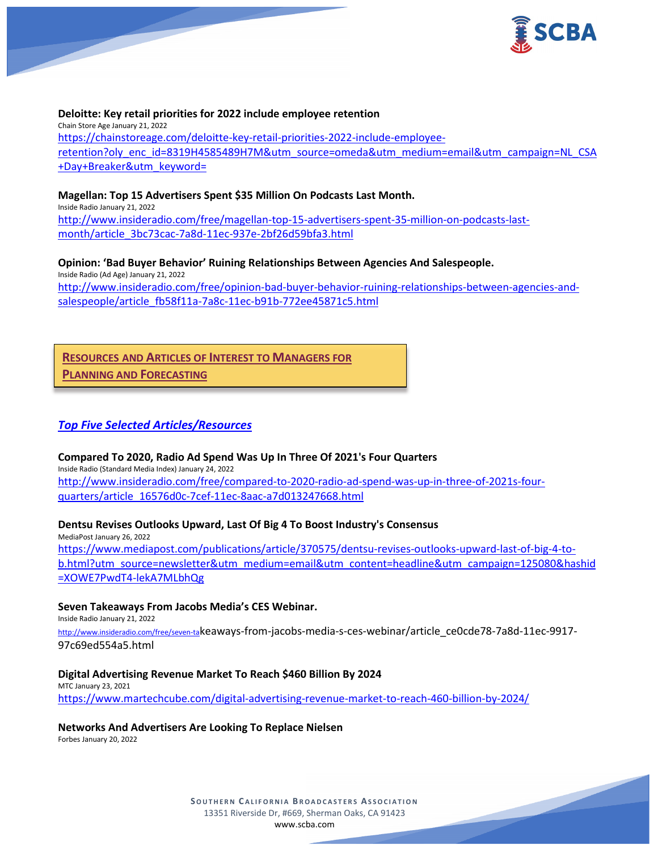

#### **Deloitte: Key retail priorities for 2022 include employee retention**

Chain Store Age January 21, 2022 [https://chainstoreage.com/deloitte-key-retail-priorities-2022-include-employee](https://chainstoreage.com/deloitte-key-retail-priorities-2022-include-employee-retention?oly_enc_id=8319H4585489H7M&utm_source=omeda&utm_medium=email&utm_campaign=NL_CSA+Day+Breaker&utm_keyword=)[retention?oly\\_enc\\_id=8319H4585489H7M&utm\\_source=omeda&utm\\_medium=email&utm\\_campaign=NL\\_CSA](https://chainstoreage.com/deloitte-key-retail-priorities-2022-include-employee-retention?oly_enc_id=8319H4585489H7M&utm_source=omeda&utm_medium=email&utm_campaign=NL_CSA+Day+Breaker&utm_keyword=) [+Day+Breaker&utm\\_keyword=](https://chainstoreage.com/deloitte-key-retail-priorities-2022-include-employee-retention?oly_enc_id=8319H4585489H7M&utm_source=omeda&utm_medium=email&utm_campaign=NL_CSA+Day+Breaker&utm_keyword=)

### **Magellan: Top 15 Advertisers Spent \$35 Million On Podcasts Last Month.**

Inside Radio January 21, 2022

[http://www.insideradio.com/free/magellan-top-15-advertisers-spent-35-million-on-podcasts-last](http://www.insideradio.com/free/magellan-top-15-advertisers-spent-35-million-on-podcasts-last-month/article_3bc73cac-7a8d-11ec-937e-2bf26d59bfa3.html)[month/article\\_3bc73cac-7a8d-11ec-937e-2bf26d59bfa3.html](http://www.insideradio.com/free/magellan-top-15-advertisers-spent-35-million-on-podcasts-last-month/article_3bc73cac-7a8d-11ec-937e-2bf26d59bfa3.html)

**Opinion: 'Bad Buyer Behavior' Ruining Relationships Between Agencies And Salespeople.** Inside Radio (Ad Age) January 21, 2022 [http://www.insideradio.com/free/opinion-bad-buyer-behavior-ruining-relationships-between-agencies-and](http://www.insideradio.com/free/opinion-bad-buyer-behavior-ruining-relationships-between-agencies-and-salespeople/article_fb58f11a-7a8c-11ec-b91b-772ee45871c5.html)[salespeople/article\\_fb58f11a-7a8c-11ec-b91b-772ee45871c5.html](http://www.insideradio.com/free/opinion-bad-buyer-behavior-ruining-relationships-between-agencies-and-salespeople/article_fb58f11a-7a8c-11ec-b91b-772ee45871c5.html)

## **RESOURCES AND ARTICLES OF INTEREST TO MANAGERS FOR**

**PLANNING AND FORECASTING**

## *Top Five Selected Articles/Resources*

#### **Compared To 2020, Radio Ad Spend Was Up In Three Of 2021's Four Quarters**

Inside Radio (Standard Media Index) January 24, 2022 [http://www.insideradio.com/free/compared-to-2020-radio-ad-spend-was-up-in-three-of-2021s-four](http://www.insideradio.com/free/compared-to-2020-radio-ad-spend-was-up-in-three-of-2021s-four-quarters/article_16576d0c-7cef-11ec-8aac-a7d013247668.html)[quarters/article\\_16576d0c-7cef-11ec-8aac-a7d013247668.html](http://www.insideradio.com/free/compared-to-2020-radio-ad-spend-was-up-in-three-of-2021s-four-quarters/article_16576d0c-7cef-11ec-8aac-a7d013247668.html)

### **Dentsu Revises Outlooks Upward, Last Of Big 4 To Boost Industry's Consensus**

MediaPost January 26, 2022 [https://www.mediapost.com/publications/article/370575/dentsu-revises-outlooks-upward-last-of-big-4-to](https://www.mediapost.com/publications/article/370575/dentsu-revises-outlooks-upward-last-of-big-4-to-b.html?utm_source=newsletter&utm_medium=email&utm_content=headline&utm_campaign=125080&hashid=XOWE7PwdT4-lekA7MLbhQg)[b.html?utm\\_source=newsletter&utm\\_medium=email&utm\\_content=headline&utm\\_campaign=125080&hashid](https://www.mediapost.com/publications/article/370575/dentsu-revises-outlooks-upward-last-of-big-4-to-b.html?utm_source=newsletter&utm_medium=email&utm_content=headline&utm_campaign=125080&hashid=XOWE7PwdT4-lekA7MLbhQg) [=XOWE7PwdT4-lekA7MLbhQg](https://www.mediapost.com/publications/article/370575/dentsu-revises-outlooks-upward-last-of-big-4-to-b.html?utm_source=newsletter&utm_medium=email&utm_content=headline&utm_campaign=125080&hashid=XOWE7PwdT4-lekA7MLbhQg)

#### **Seven Takeaways From Jacobs Media's CES Webinar.**

Inside Radio January 21, 2022

[http://www.insideradio.com/free/seven-tak](http://www.insideradio.com/free/seven-ta)eaways-from-jacobs-media-s-ces-webinar/article\_ce0cde78-7a8d-11ec-9917- 97c69ed554a5.html

#### **Digital Advertising Revenue Market To Reach \$460 Billion By 2024**

### MTC January 23, 2021 <https://www.martechcube.com/digital-advertising-revenue-market-to-reach-460-billion-by-2024/>

#### **Networks And Advertisers Are Looking To Replace Nielsen**

Forbes January 20, 2022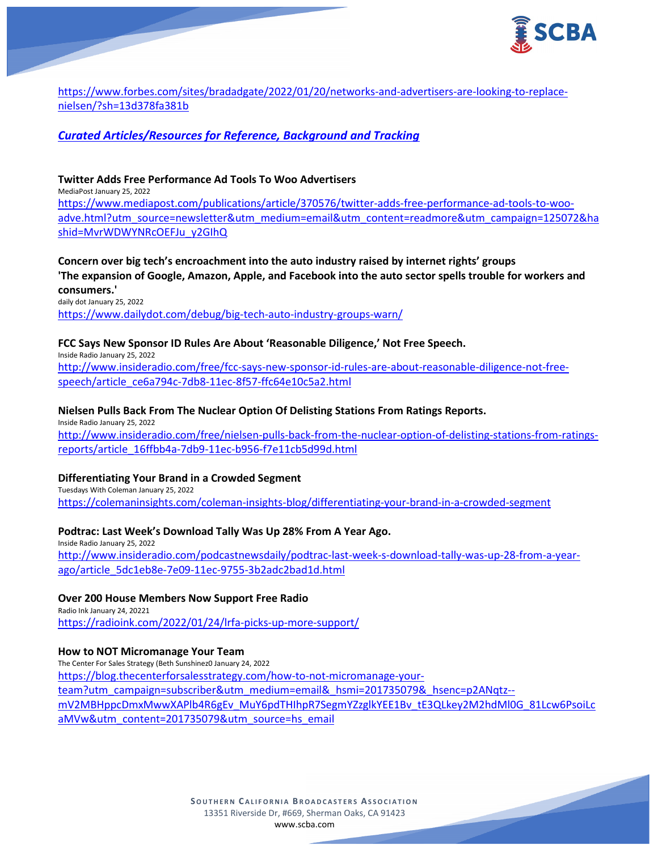

[https://www.forbes.com/sites/bradadgate/2022/01/20/networks-and-advertisers-are-looking-to-replace](https://www.forbes.com/sites/bradadgate/2022/01/20/networks-and-advertisers-are-looking-to-replace-nielsen/?sh=13d378fa381b)[nielsen/?sh=13d378fa381b](https://www.forbes.com/sites/bradadgate/2022/01/20/networks-and-advertisers-are-looking-to-replace-nielsen/?sh=13d378fa381b)

# *Curated Articles/Resources for Reference, Background and Tracking*

### **Twitter Adds Free Performance Ad Tools To Woo Advertisers**

MediaPost January 25, 2022

[https://www.mediapost.com/publications/article/370576/twitter-adds-free-performance-ad-tools-to-woo](https://www.mediapost.com/publications/article/370576/twitter-adds-free-performance-ad-tools-to-woo-adve.html?utm_source=newsletter&utm_medium=email&utm_content=readmore&utm_campaign=125072&hashid=MvrWDWYNRcOEFJu_y2GIhQ)[adve.html?utm\\_source=newsletter&utm\\_medium=email&utm\\_content=readmore&utm\\_campaign=125072&ha](https://www.mediapost.com/publications/article/370576/twitter-adds-free-performance-ad-tools-to-woo-adve.html?utm_source=newsletter&utm_medium=email&utm_content=readmore&utm_campaign=125072&hashid=MvrWDWYNRcOEFJu_y2GIhQ) [shid=MvrWDWYNRcOEFJu\\_y2GIhQ](https://www.mediapost.com/publications/article/370576/twitter-adds-free-performance-ad-tools-to-woo-adve.html?utm_source=newsletter&utm_medium=email&utm_content=readmore&utm_campaign=125072&hashid=MvrWDWYNRcOEFJu_y2GIhQ)

**Concern over big tech's encroachment into the auto industry raised by internet rights' groups 'The expansion of Google, Amazon, Apple, and Facebook into the auto sector spells trouble for workers and consumers.'**

daily dot January 25, 2022 <https://www.dailydot.com/debug/big-tech-auto-industry-groups-warn/>

### **FCC Says New Sponsor ID Rules Are About 'Reasonable Diligence,' Not Free Speech.**

Inside Radio January 25, 2022

[http://www.insideradio.com/free/fcc-says-new-sponsor-id-rules-are-about-reasonable-diligence-not-free](http://www.insideradio.com/free/fcc-says-new-sponsor-id-rules-are-about-reasonable-diligence-not-free-speech/article_ce6a794c-7db8-11ec-8f57-ffc64e10c5a2.html)[speech/article\\_ce6a794c-7db8-11ec-8f57-ffc64e10c5a2.html](http://www.insideradio.com/free/fcc-says-new-sponsor-id-rules-are-about-reasonable-diligence-not-free-speech/article_ce6a794c-7db8-11ec-8f57-ffc64e10c5a2.html)

#### **Nielsen Pulls Back From The Nuclear Option Of Delisting Stations From Ratings Reports.** Inside Radio January 25, 2022

[http://www.insideradio.com/free/nielsen-pulls-back-from-the-nuclear-option-of-delisting-stations-from-ratings](http://www.insideradio.com/free/nielsen-pulls-back-from-the-nuclear-option-of-delisting-stations-from-ratings-reports/article_16ffbb4a-7db9-11ec-b956-f7e11cb5d99d.html)[reports/article\\_16ffbb4a-7db9-11ec-b956-f7e11cb5d99d.html](http://www.insideradio.com/free/nielsen-pulls-back-from-the-nuclear-option-of-delisting-stations-from-ratings-reports/article_16ffbb4a-7db9-11ec-b956-f7e11cb5d99d.html)

#### **Differentiating Your Brand in a Crowded Segment**

Tuesdays With Coleman January 25, 2022 <https://colemaninsights.com/coleman-insights-blog/differentiating-your-brand-in-a-crowded-segment>

### **Podtrac: Last Week's Download Tally Was Up 28% From A Year Ago.**

Inside Radio January 25, 2022 [http://www.insideradio.com/podcastnewsdaily/podtrac-last-week-s-download-tally-was-up-28-from-a-year](http://www.insideradio.com/podcastnewsdaily/podtrac-last-week-s-download-tally-was-up-28-from-a-year-ago/article_5dc1eb8e-7e09-11ec-9755-3b2adc2bad1d.html)[ago/article\\_5dc1eb8e-7e09-11ec-9755-3b2adc2bad1d.html](http://www.insideradio.com/podcastnewsdaily/podtrac-last-week-s-download-tally-was-up-28-from-a-year-ago/article_5dc1eb8e-7e09-11ec-9755-3b2adc2bad1d.html)

### **Over 200 House Members Now Support Free Radio**

Radio Ink January 24, 20221 <https://radioink.com/2022/01/24/lrfa-picks-up-more-support/>

#### **How to NOT Micromanage Your Team**

The Center For Sales Strategy (Beth Sunshinez0 January 24, 2022 [https://blog.thecenterforsalesstrategy.com/how-to-not-micromanage-your](https://blog.thecenterforsalesstrategy.com/how-to-not-micromanage-your-team?utm_campaign=subscriber&utm_medium=email&_hsmi=201735079&_hsenc=p2ANqtz--mV2MBHppcDmxMwwXAPlb4R6gEv_MuY6pdTHIhpR7SegmYZzglkYEE1Bv_tE3QLkey2M2hdMl0G_81Lcw6PsoiLcaMVw&utm_content=201735079&utm_source=hs_email)[team?utm\\_campaign=subscriber&utm\\_medium=email&\\_hsmi=201735079&\\_hsenc=p2ANqtz-](https://blog.thecenterforsalesstrategy.com/how-to-not-micromanage-your-team?utm_campaign=subscriber&utm_medium=email&_hsmi=201735079&_hsenc=p2ANqtz--mV2MBHppcDmxMwwXAPlb4R6gEv_MuY6pdTHIhpR7SegmYZzglkYEE1Bv_tE3QLkey2M2hdMl0G_81Lcw6PsoiLcaMVw&utm_content=201735079&utm_source=hs_email) [mV2MBHppcDmxMwwXAPlb4R6gEv\\_MuY6pdTHIhpR7SegmYZzglkYEE1Bv\\_tE3QLkey2M2hdMl0G\\_81Lcw6PsoiLc](https://blog.thecenterforsalesstrategy.com/how-to-not-micromanage-your-team?utm_campaign=subscriber&utm_medium=email&_hsmi=201735079&_hsenc=p2ANqtz--mV2MBHppcDmxMwwXAPlb4R6gEv_MuY6pdTHIhpR7SegmYZzglkYEE1Bv_tE3QLkey2M2hdMl0G_81Lcw6PsoiLcaMVw&utm_content=201735079&utm_source=hs_email) [aMVw&utm\\_content=201735079&utm\\_source=hs\\_email](https://blog.thecenterforsalesstrategy.com/how-to-not-micromanage-your-team?utm_campaign=subscriber&utm_medium=email&_hsmi=201735079&_hsenc=p2ANqtz--mV2MBHppcDmxMwwXAPlb4R6gEv_MuY6pdTHIhpR7SegmYZzglkYEE1Bv_tE3QLkey2M2hdMl0G_81Lcw6PsoiLcaMVw&utm_content=201735079&utm_source=hs_email)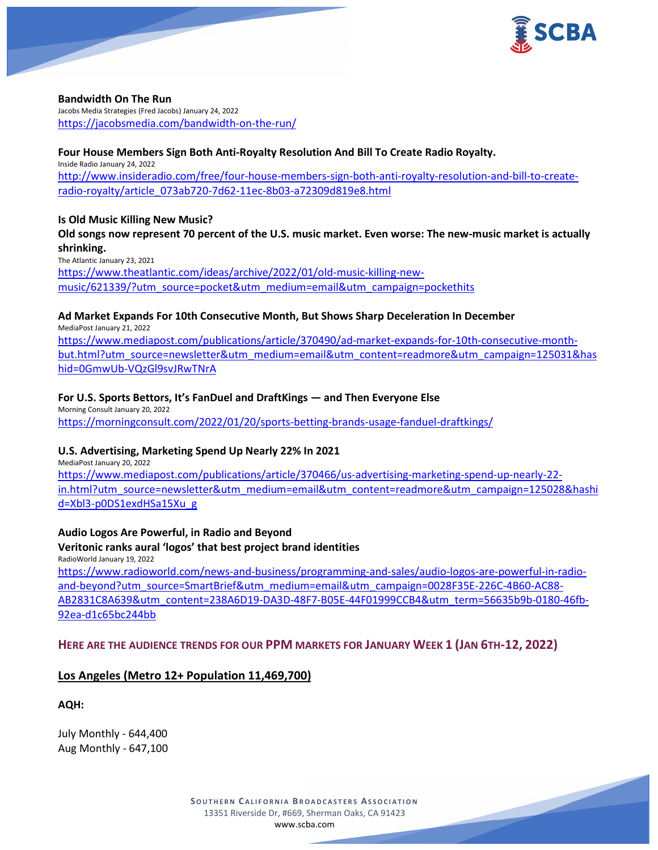

**Bandwidth On The Run**

Jacobs Media Strategies (Fred Jacobs) January 24, 2022 <https://jacobsmedia.com/bandwidth-on-the-run/>

# **Four House Members Sign Both Anti-Royalty Resolution And Bill To Create Radio Royalty.**

Inside Radio January 24, 2022 [http://www.insideradio.com/free/four-house-members-sign-both-anti-royalty-resolution-and-bill-to-create](http://www.insideradio.com/free/four-house-members-sign-both-anti-royalty-resolution-and-bill-to-create-radio-royalty/article_073ab720-7d62-11ec-8b03-a72309d819e8.html)[radio-royalty/article\\_073ab720-7d62-11ec-8b03-a72309d819e8.html](http://www.insideradio.com/free/four-house-members-sign-both-anti-royalty-resolution-and-bill-to-create-radio-royalty/article_073ab720-7d62-11ec-8b03-a72309d819e8.html)

### **Is Old Music Killing New Music?**

# **Old songs now represent 70 percent of the U.S. music market. Even worse: The new-music market is actually shrinking.**

The Atlantic January 23, 2021

[https://www.theatlantic.com/ideas/archive/2022/01/old-music-killing-new](https://www.theatlantic.com/ideas/archive/2022/01/old-music-killing-new-music/621339/?utm_source=pocket&utm_medium=email&utm_campaign=pockethits)[music/621339/?utm\\_source=pocket&utm\\_medium=email&utm\\_campaign=pockethits](https://www.theatlantic.com/ideas/archive/2022/01/old-music-killing-new-music/621339/?utm_source=pocket&utm_medium=email&utm_campaign=pockethits)

## **Ad Market Expands For 10th Consecutive Month, But Shows Sharp Deceleration In December**

MediaPost January 21, 2022

[https://www.mediapost.com/publications/article/370490/ad-market-expands-for-10th-consecutive-month](https://www.mediapost.com/publications/article/370490/ad-market-expands-for-10th-consecutive-month-but.html?utm_source=newsletter&utm_medium=email&utm_content=readmore&utm_campaign=125031&hashid=0GmwUb-VQzGl9svJRwTNrA)[but.html?utm\\_source=newsletter&utm\\_medium=email&utm\\_content=readmore&utm\\_campaign=125031&has](https://www.mediapost.com/publications/article/370490/ad-market-expands-for-10th-consecutive-month-but.html?utm_source=newsletter&utm_medium=email&utm_content=readmore&utm_campaign=125031&hashid=0GmwUb-VQzGl9svJRwTNrA) [hid=0GmwUb-VQzGl9svJRwTNrA](https://www.mediapost.com/publications/article/370490/ad-market-expands-for-10th-consecutive-month-but.html?utm_source=newsletter&utm_medium=email&utm_content=readmore&utm_campaign=125031&hashid=0GmwUb-VQzGl9svJRwTNrA)

## **For U.S. Sports Bettors, It's FanDuel and DraftKings — and Then Everyone Else**

Morning Consult January 20, 2022 <https://morningconsult.com/2022/01/20/sports-betting-brands-usage-fanduel-draftkings/>

# **U.S. Advertising, Marketing Spend Up Nearly 22% In 2021**

MediaPost January 20, 2022

[https://www.mediapost.com/publications/article/370466/us-advertising-marketing-spend-up-nearly-22](https://www.mediapost.com/publications/article/370466/us-advertising-marketing-spend-up-nearly-22-in.html?utm_source=newsletter&utm_medium=email&utm_content=readmore&utm_campaign=125028&hashid=Xbl3-p0DS1exdHSa15Xu_g) [in.html?utm\\_source=newsletter&utm\\_medium=email&utm\\_content=readmore&utm\\_campaign=125028&hashi](https://www.mediapost.com/publications/article/370466/us-advertising-marketing-spend-up-nearly-22-in.html?utm_source=newsletter&utm_medium=email&utm_content=readmore&utm_campaign=125028&hashid=Xbl3-p0DS1exdHSa15Xu_g) [d=Xbl3-p0DS1exdHSa15Xu\\_g](https://www.mediapost.com/publications/article/370466/us-advertising-marketing-spend-up-nearly-22-in.html?utm_source=newsletter&utm_medium=email&utm_content=readmore&utm_campaign=125028&hashid=Xbl3-p0DS1exdHSa15Xu_g)

**Audio Logos Are Powerful, in Radio and Beyond Veritonic ranks aural 'logos' that best project brand identities** RadioWorld January 19, 2022

[https://www.radioworld.com/news-and-business/programming-and-sales/audio-logos-are-powerful-in-radio](https://www.radioworld.com/news-and-business/programming-and-sales/audio-logos-are-powerful-in-radio-and-beyond?utm_source=SmartBrief&utm_medium=email&utm_campaign=0028F35E-226C-4B60-AC88-AB2831C8A639&utm_content=238A6D19-DA3D-48F7-B05E-44F01999CCB4&utm_term=56635b9b-0180-46fb-92ea-d1c65bc244bb)[and-beyond?utm\\_source=SmartBrief&utm\\_medium=email&utm\\_campaign=0028F35E-226C-4B60-AC88-](https://www.radioworld.com/news-and-business/programming-and-sales/audio-logos-are-powerful-in-radio-and-beyond?utm_source=SmartBrief&utm_medium=email&utm_campaign=0028F35E-226C-4B60-AC88-AB2831C8A639&utm_content=238A6D19-DA3D-48F7-B05E-44F01999CCB4&utm_term=56635b9b-0180-46fb-92ea-d1c65bc244bb) [AB2831C8A639&utm\\_content=238A6D19-DA3D-48F7-B05E-44F01999CCB4&utm\\_term=56635b9b-0180-46fb-](https://www.radioworld.com/news-and-business/programming-and-sales/audio-logos-are-powerful-in-radio-and-beyond?utm_source=SmartBrief&utm_medium=email&utm_campaign=0028F35E-226C-4B60-AC88-AB2831C8A639&utm_content=238A6D19-DA3D-48F7-B05E-44F01999CCB4&utm_term=56635b9b-0180-46fb-92ea-d1c65bc244bb)[92ea-d1c65bc244bb](https://www.radioworld.com/news-and-business/programming-and-sales/audio-logos-are-powerful-in-radio-and-beyond?utm_source=SmartBrief&utm_medium=email&utm_campaign=0028F35E-226C-4B60-AC88-AB2831C8A639&utm_content=238A6D19-DA3D-48F7-B05E-44F01999CCB4&utm_term=56635b9b-0180-46fb-92ea-d1c65bc244bb)

# **HERE ARE THE AUDIENCE TRENDS FOR OUR PPM MARKETS FOR JANUARY WEEK 1 (JAN 6TH-12, 2022)**

# **Los Angeles (Metro 12+ Population 11,469,700)**

**AQH:**

July Monthly - 644,400 Aug Monthly - 647,100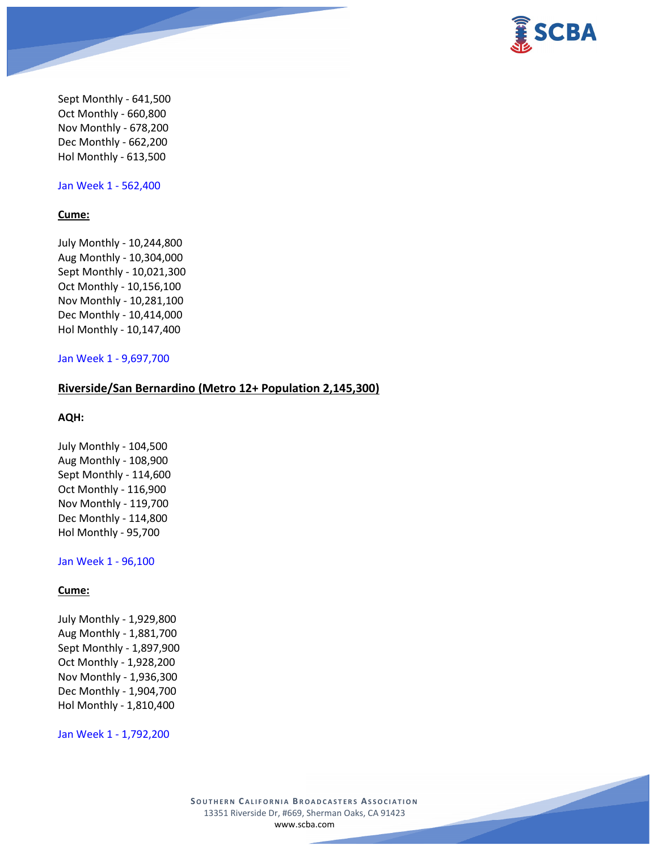

Sept Monthly - 641,500 Oct Monthly - 660,800 Nov Monthly - 678,200 Dec Monthly - 662,200 Hol Monthly - 613,500

Jan Week 1 - 562,400

#### **Cume:**

July Monthly - 10,244,800 Aug Monthly - 10,304,000 Sept Monthly - 10,021,300 Oct Monthly - 10,156,100 Nov Monthly - 10,281,100 Dec Monthly - 10,414,000 Hol Monthly - 10,147,400

#### Jan Week 1 - 9,697,700

### **Riverside/San Bernardino (Metro 12+ Population 2,145,300)**

#### **AQH:**

July Monthly - 104,500 Aug Monthly - 108,900 Sept Monthly - 114,600 Oct Monthly - 116,900 Nov Monthly - 119,700 Dec Monthly - 114,800 Hol Monthly - 95,700

#### Jan Week 1 - 96,100

### **Cume:**

July Monthly - 1,929,800 Aug Monthly - 1,881,700 Sept Monthly - 1,897,900 Oct Monthly - 1,928,200 Nov Monthly - 1,936,300 Dec Monthly - 1,904,700 Hol Monthly - 1,810,400

Jan Week 1 - 1,792,200